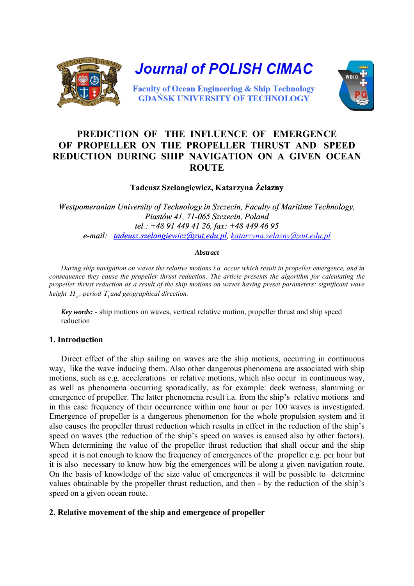

# **PREDICTION OF THE INFLUENCE OF EMERGENCE OF PROPELLER ON THE PROPELLER THRUST AND SPEED REDUCTION DURING SHIP NAVIGATION ON A GIVEN OCEAN ROUTE**

# **Tadeusz Szelangiewicz, Katarzyna Żelazny**

*Westpomeranian University of Technology in Szczecin, Faculty of Maritime Technology, Piastów 41, 71-065 Szczecin, Poland tel.: +48 91 449 41 26, fax: +48 449 46 95 [e-mail: tadeusz.szelangiewicz@zut.edu.pl](mailto:tadeusz.szelangiewicz@zut.edu.pl)[,](mailto:katarzyna.zelazny@zut.edu.pl) katarzyna.zelazny@zut.edu.pl*

#### *Abstract*

*During ship navigation on waves the relative motions i.a. occur which result in propeller emergence, and in consequence they cause the propeller thrust reduction. The article presents the algorithm for calculating the propeller thrust reduction as a result of the ship motions on waves having preset parameters: significant wave height*  $H_{\alpha}$ *, period T<sub>1</sub> and geographical direction.* 

*Key words:* - ship motions on waves, vertical relative motion, propeller thrust and ship speed reduction

## **1. Introduction**

Direct effect of the ship sailing on waves are the ship motions, occurring in continuous way, like the wave inducing them. Also other dangerous phenomena are associated with ship motions, such as e.g. accelerations or relative motions, which also occur in continuous way, as well as phenomena occurring sporadically, as for example: deck wetness, slamming or emergence of propeller. The latter phenomena result i.a. from the ship's relative motions and in this case frequency of their occurrence within one hour or per 100 waves is investigated. Emergence of propeller is a dangerous phenomenon for the whole propulsion system and it also causes the propeller thrust reduction which results in effect in the reduction of the ship's speed on waves (the reduction of the ship's speed on waves is caused also by other factors). When determining the value of the propeller thrust reduction that shall occur and the ship speed it is not enough to know the frequency of emergences of the propeller e.g. per hour but it is also necessary to know how big the emergences will be along a given navigation route. On the basis of knowledge of the size value of emergences it will be possible to determine values obtainable by the propeller thrust reduction, and then - by the reduction of the ship's speed on a given ocean route.

## **2. Relative movement of the ship and emergence of propeller**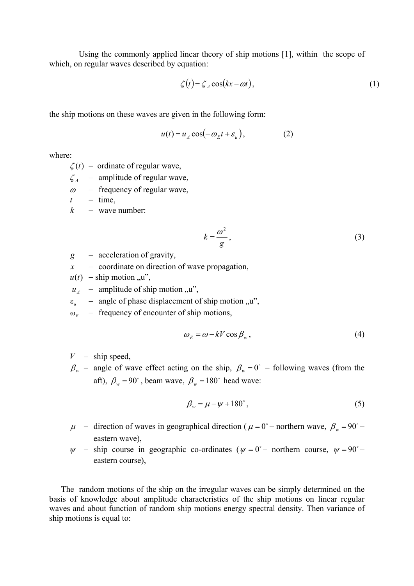Using the commonly applied linear theory of ship motions [1], within the scope of which, on regular waves described by equation:

$$
\zeta(t) = \zeta_A \cos(kx - \omega t),\tag{1}
$$

the ship motions on these waves are given in the following form:

$$
u(t) = u_A \cos(-\omega_E t + \varepsilon_u), \qquad (2)
$$

where:

 $\zeta(t)$  – ordinate of regular wave,

- $\zeta_A$  amplitude of regular wave,
- $\omega$  frequency of regular wave,
- $t time$ ,
- $k -$  wave number:

$$
k = \frac{\omega^2}{g},\tag{3}
$$

- *g* − acceleration of gravity,
- *x* − coordinate on direction of wave propagation,
- $u(t)$  ship motion "u",
- $u_{\mu}$  amplitude of ship motion "u",
- $\varepsilon_n$  angle of phase displacement of ship motion  $u''$ ,
- ω*<sup>E</sup>* − frequency of encounter of ship motions,

$$
\omega_E = \omega - kV \cos \beta_w, \qquad (4)
$$

- $V -$ ship speed,
- $\beta_w$  angle of wave effect acting on the ship,  $\beta_w = 0^\circ$  following waves (from the aft),  $\beta_w = 90^\circ$ , beam wave,  $\beta_w = 180^\circ$  head wave:

$$
\beta_w = \mu - \psi + 180^\circ, \tag{5}
$$

- $\mu$  direction of waves in geographical direction ( $\mu = 0^{\circ}$  northern wave,  $\beta_w = 90^{\circ}$  eastern wave),
- $\psi$  ship course in geographic co-ordinates ( $\psi = 0^{\circ}$  northern course,  $\psi = 90^{\circ}$  eastern course),

The random motions of the ship on the irregular waves can be simply determined on the basis of knowledge about amplitude characteristics of the ship motions on linear regular waves and about function of random ship motions energy spectral density. Then variance of ship motions is equal to: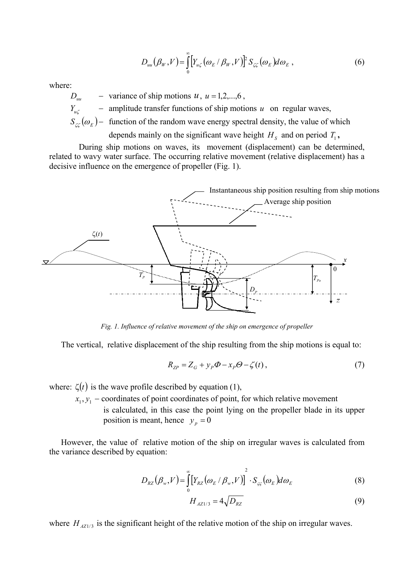$$
D_{uu}(\beta_W, V) = \int_0^\infty \left[ Y_{u\zeta}(\omega_E/\beta_W, V) \right]^2 S_{\zeta\zeta}(\omega_E) d\omega_E , \qquad (6)
$$

 $D_{uu}$  – variance of ship motions  $u, u = 1, 2,...,6$ ,

*Y<sub>u</sub>* − amplitude transfer functions of ship motions *u* on regular waves,

 $S_{\zeta\zeta}(\omega_E)$  – function of the random wave energy spectral density, the value of which

depends mainly on the significant wave height  $H_s$  and on period  $T_1$ ,

During ship motions on waves, its movement (displacement) can be determined, related to wavy water surface. The occurring relative movement (relative displacement) has a decisive influence on the emergence of propeller (Fig. 1).



*Fig. 1. Influence of relative movement of the ship on emergence of propeller* 

The vertical, relative displacement of the ship resulting from the ship motions is equal to:

$$
R_{ZP} = Z_G + y_P \Phi - x_P \Theta - \zeta(t),\tag{7}
$$

where:  $\zeta(t)$  is the wave profile described by equation (1),

 $x_1, y_1$  – coordinates of point coordinates of point, for which relative movement is calculated, in this case the point lying on the propeller blade in its upper position is meant, hence  $y_p = 0$ 

However, the value of relative motion of the ship on irregular waves is calculated from the variance described by equation:

$$
D_{RZ}(\beta_w, V) = \int_{0}^{\infty} \left[ Y_{RZ}(\omega_E / \beta_w, V) \right]^2 \cdot S_{\varsigma_{\varsigma}}(\omega_E) d\omega_E
$$
 (8)

$$
H_{A Z 1/3} = 4\sqrt{D_{R Z}}\tag{9}
$$

where  $H_{AZ1/3}$  is the significant height of the relative motion of the ship on irregular waves.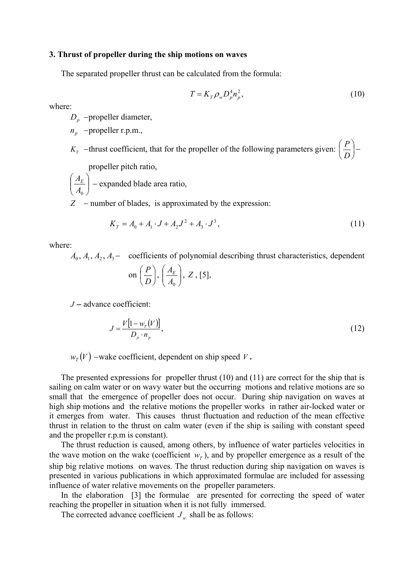#### **3. Thrust of propeller during the ship motions on waves**

The separated propeller thrust can be calculated from the formula:

$$
T = K_T \rho_w D_p^4 n_p^2, \qquad (10)
$$

where:

*D<sub>p</sub>* − propeller diameter,

*p*<sub>*n*</sub> − propeller r.p.m.,

*K<sub>T</sub>* − thrust coefficient, that for the propeller of the following parameters given:  $\frac{1}{n}$ ⎠  $\left(\frac{P}{P}\right)$ ⎝  $\sqrt{2}$ *D P*  $\left(-\frac{p}{p}\right)$ propeller pitch ratio,

 $\sqrt{2}$ ⎠  $\setminus$  $\parallel$ ⎝  $\sqrt{}$  $A<sub>0</sub>$  $\left(\frac{A_E}{A_E}\right)$  – expanded blade area ratio,

*Z* − number of blades, is approximated by the expression:

$$
K_T = A_0 + A_1 \cdot J + A_2 J^2 + A_3 \cdot J^3,\tag{11}
$$

where:

 $A_0, A_1, A_2, A_3$  – coefficients of polynomial describing thrust characteristics, dependent

on 
$$
\left(\frac{P}{D}\right), \left(\frac{A_E}{A_0}\right), Z, [5],
$$

*J* − advance coefficient:

$$
J = \frac{V[1 - w_r(V)]}{D_p \cdot n_p},\tag{12}
$$

 $W_T(V)$  – wake coefficient, dependent on ship speed *V*.

The presented expressions for propeller thrust (10) and (11) are correct for the ship that is sailing on calm water or on wavy water but the occurring motions and relative motions are so small that the emergence of propeller does not occur. During ship navigation on waves at high ship motions and the relative motions the propeller works in rather air-locked water or it emerges from water. This causes thrust fluctuation and reduction of the mean effective thrust in relation to the thrust on calm water (even if the ship is sailing with constant speed and the propeller r.p.m is constant).

The thrust reduction is caused, among others, by influence of water particles velocities in the wave motion on the wake (coefficient  $w<sub>T</sub>$ ), and by propeller emergence as a result of the ship big relative motions on waves. The thrust reduction during ship navigation on waves is presented in various publications in which approximated formulae are included for assessing influence of water relative movements on the propeller parameters.

In the elaboration [3] the formulae are presented for correcting the speed of water reaching the propeller in situation when it is not fully immersed.

The corrected advance coefficient  $J_w$  shall be as follows: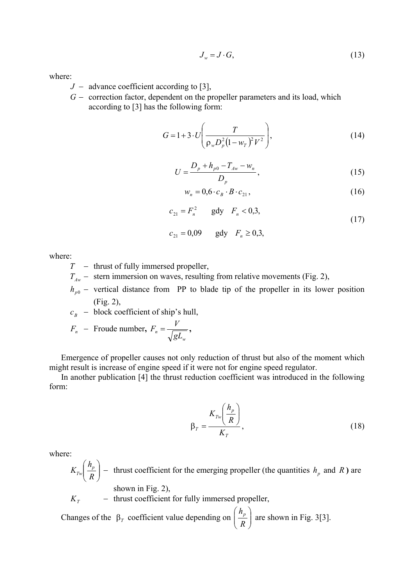$$
J_w = J \cdot G,\tag{13}
$$

- *J* − advance coefficient according to [3],
- *G* − correction factor, dependent on the propeller parameters and its load, which according to [3] has the following form:

$$
G = 1 + 3 \cdot U \left( \frac{T}{\rho_w D_p^2 (1 - w_T)^2 V^2} \right), \tag{14}
$$

$$
U = \frac{D_p + h_{p0} - T_{Aw} - w_n}{D_p},
$$
\n(15)

$$
w_n = 0, 6 \cdot c_B \cdot B \cdot c_{21}, \qquad (16)
$$

$$
c_{21} = F_n^2 \qquad \text{gdy} \quad F_n < 0.3,\tag{17}
$$

$$
c_{21} = 0.09
$$
 gdy  $F_n \ge 0.3$ ,

where:

- *T* − thrust of fully immersed propeller,
- $T_{\text{A}w}$  stern immersion on waves, resulting from relative movements (Fig. 2),
- $h_{p0}$  vertical distance from PP to blade tip of the propeller in its lower position (Fig. 2),

 $c_B$  − block coefficient of ship's hull,

$$
F_n - \text{Froude number, } F_n = \frac{V}{\sqrt{gL_w}},
$$

Emergence of propeller causes not only reduction of thrust but also of the moment which might result is increase of engine speed if it were not for engine speed regulator.

In another publication [4] the thrust reduction coefficient was introduced in the following form:

$$
\beta_T = \frac{K_{T_w} \left(\frac{h_p}{R}\right)}{K_T},\tag{18}
$$

where:

 $\sqrt{2}$ ⎠ ⎞  $\overline{\phantom{a}}$ ⎝  $\big($ *R*  $K_{T_w}\left(\frac{h_p}{R}\right)$  – thrust coefficient for the emerging propeller (the quantities  $h_p$  and *R*) are shown in Fig. 2),

 $K_T$  − thrust coefficient for fully immersed propeller,

Changes of the  $\beta_T$  coefficient value depending on  $\left\lfloor \frac{n_p}{R} \right\rfloor$ ⎠ ⎞  $\overline{\phantom{a}}$ ⎝  $\big($ *R*  $\left(\frac{h_p}{g}\right)$  are shown in Fig. 3[3].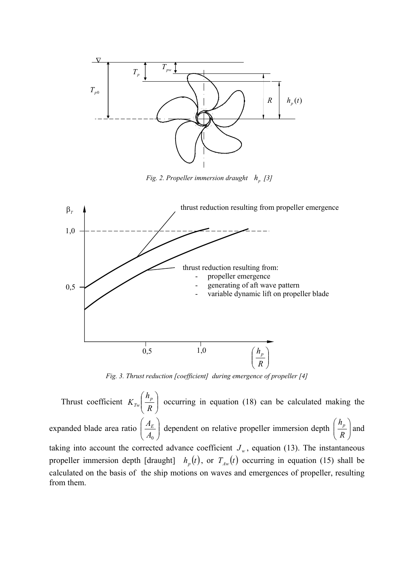

*Fig. 2. Propeller immersion draught*  $h_p$  [3]



*Fig. 3. Thrust reduction [coefficient] during emergence of propeller [4]* 

Thrust coefficient  $K_{Tw} \left| \frac{n_p}{R} \right|$ ⎠ ⎞  $\mid$ ⎝  $\big($ *R*  $K_{T_w}\left(\frac{h_p}{R}\right)$  occurring in equation (18) can be calculated making the expanded blade area ratio  $\left| \frac{A_E}{A} \right|$ ⎠  $\setminus$  $\overline{\phantom{a}}$ ⎝  $\big($  $\frac{A_E}{A_0}$  dependent on relative propeller immersion depth  $\left(\frac{h_p}{R}\right)$ ⎠ ⎞  $\parallel$ ⎝  $\sqrt{2}$ *R*  $\left(\frac{h_p}{h}\right)$  and taking into account the corrected advance coefficient  $J_w$ , equation (13). The instantaneous propeller immersion depth [draught]  $h_p(t)$ , or  $T_{A_w}(t)$  occurring in equation (15) shall be calculated on the basis of the ship motions on waves and emergences of propeller, resulting from them.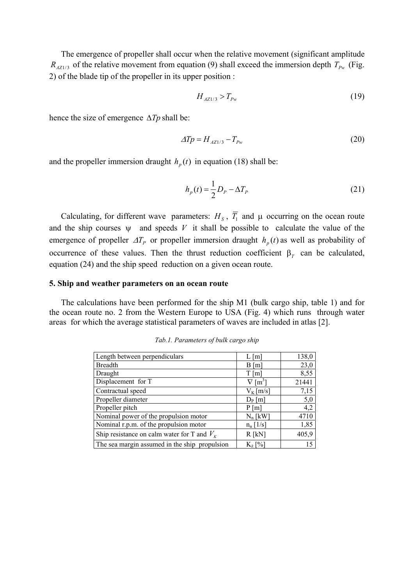The emergence of propeller shall occur when the relative movement (significant amplitude  $R_{\text{A21/3}}$  of the relative movement from equation (9) shall exceed the immersion depth  $T_{p_w}$  (Fig. 2) of the blade tip of the propeller in its upper position :

$$
H_{A Z 1/3} > T_{Pw} \tag{19}
$$

hence the size of emergence Δ*Tp* shall be:

$$
\Delta T p = H_{A Z 1/3} - T_{P w} \tag{20}
$$

and the propeller immersion draught  $h_p(t)$  in equation (18) shall be:

$$
h_p(t) = \frac{1}{2}D_p - \Delta T_p \tag{21}
$$

Calculating, for different wave parameters:  $H_s$ ,  $\overline{T}_1$  and  $\mu$  occurring on the ocean route and the ship courses  $\psi$  and speeds V it shall be possible to calculate the value of the emergence of propeller  $\Delta T_p$  or propeller immersion draught  $h_p(t)$  as well as probability of occurrence of these values. Then the thrust reduction coefficient  $\beta_T$  can be calculated, equation (24) and the ship speed reduction on a given ocean route.

#### **5. Ship and weather parameters on an ocean route**

The calculations have been performed for the ship M1 (bulk cargo ship, table 1) and for the ocean route no. 2 from the Western Europe to USA (Fig. 4) which runs through water areas for which the average statistical parameters of waves are included in atlas [2].

| Length between perpendiculars                   | $L \, \mathrm{[m]}$ | 138,0            |
|-------------------------------------------------|---------------------|------------------|
| <b>Breadth</b>                                  | B[m]                | 23,0             |
| Draught                                         | $T \,[\mathrm{m}]$  | 8,55             |
| Displacement for T                              | $\lceil m^3 \rceil$ | 21441            |
| Contractual speed                               | $V_{K}$ [m/s]       | 7,15             |
| Propeller diameter                              | $D_P[m]$            | $\overline{5,0}$ |
| Propeller pitch                                 | P[m]                | 4,2              |
| Nominal power of the propulsion motor           | $N_n$ [kW]          | 4710             |
| Nominal r.p.m. of the propulsion motor          | $n_n$ [1/s]         | 1,85             |
| Ship resistance on calm water for T and $V_{K}$ | $R$ [kN]            | 405,9            |
| The sea margin assumed in the ship_propulsion   | $K_{\lambda}$ [%]   | 15               |

*Tab.1. Parameters of bulk cargo ship*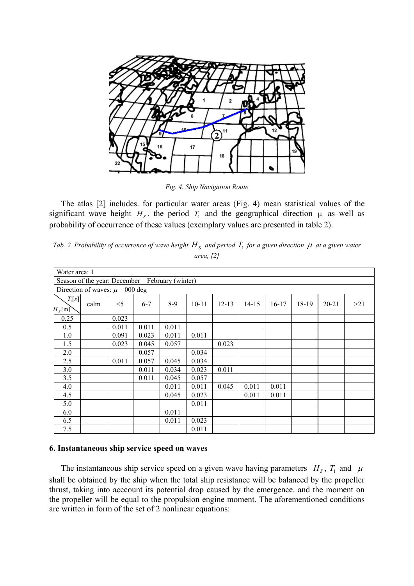

*Fig. 4. Ship Navigation Route* 

The atlas [2] includes. for particular water areas (Fig. 4) mean statistical values of the significant wave height  $H_s$ , the period  $T_1$  and the geographical direction  $\mu$  as well as probability of occurrence of these values (exemplary values are presented in table 2).

|  | Tab. 2. Probability of occurrence of wave height $H_s$ and period $T_1$ for a given direction $\mu$ at a given water |  |           |  |  |  |
|--|----------------------------------------------------------------------------------------------------------------------|--|-----------|--|--|--|
|  |                                                                                                                      |  | area, 121 |  |  |  |

| Water area: 1                                    |      |       |         |       |           |           |           |         |       |           |     |
|--------------------------------------------------|------|-------|---------|-------|-----------|-----------|-----------|---------|-------|-----------|-----|
| Season of the year: December – February (winter) |      |       |         |       |           |           |           |         |       |           |     |
| Direction of waves: $\mu$ = 000 deg              |      |       |         |       |           |           |           |         |       |           |     |
| $T_1[s]$<br>$H_s[{\rm m}]$                       | calm | $<$ 5 | $6 - 7$ | $8-9$ | $10 - 11$ | $12 - 13$ | $14 - 15$ | $16-17$ | 18-19 | $20 - 21$ | >21 |
| 0.25                                             |      | 0.023 |         |       |           |           |           |         |       |           |     |
| 0.5                                              |      | 0.011 | 0.011   | 0.011 |           |           |           |         |       |           |     |
| 1.0                                              |      | 0.091 | 0.023   | 0.011 | 0.011     |           |           |         |       |           |     |
| 1.5                                              |      | 0.023 | 0.045   | 0.057 |           | 0.023     |           |         |       |           |     |
| 2.0                                              |      |       | 0.057   |       | 0.034     |           |           |         |       |           |     |
| 2.5                                              |      | 0.011 | 0.057   | 0.045 | 0.034     |           |           |         |       |           |     |
| 3.0                                              |      |       | 0.011   | 0.034 | 0.023     | 0.011     |           |         |       |           |     |
| 3.5                                              |      |       | 0.011   | 0.045 | 0.057     |           |           |         |       |           |     |
| 4.0                                              |      |       |         | 0.011 | 0.011     | 0.045     | 0.011     | 0.011   |       |           |     |
| 4.5                                              |      |       |         | 0.045 | 0.023     |           | 0.011     | 0.011   |       |           |     |
| 5.0                                              |      |       |         |       | 0.011     |           |           |         |       |           |     |
| 6.0                                              |      |       |         | 0.011 |           |           |           |         |       |           |     |
| 6.5                                              |      |       |         | 0.011 | 0.023     |           |           |         |       |           |     |
| 7.5                                              |      |       |         |       | 0.011     |           |           |         |       |           |     |

## **6. Instantaneous ship service speed on waves**

The instantaneous ship service speed on a given wave having parameters  $H<sub>S</sub>$ ,  $T<sub>1</sub>$  and  $\mu$ shall be obtained by the ship when the total ship resistance will be balanced by the propeller thrust, taking into acccount its potential drop caused by the emergence. and the moment on the propeller will be equal to the propulsion engine moment. The aforementioned conditions are written in form of the set of 2 nonlinear equations: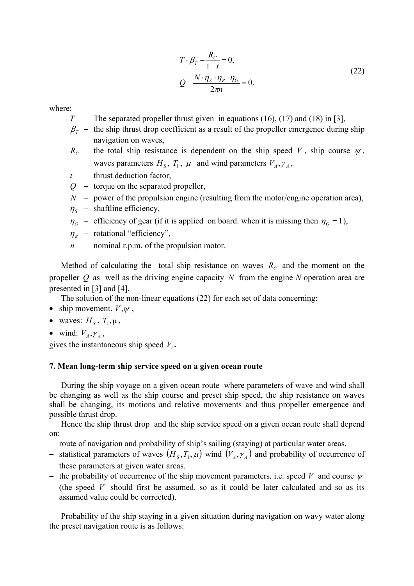$$
T \cdot \beta_T - \frac{R_C}{1 - t} = 0,
$$
  
\n
$$
Q - \frac{N \cdot \eta_s \cdot \eta_R \cdot \eta_G}{2\pi n} = 0.
$$
\n(22)

- *T* − The separated propeller thrust given in equations (16), (17) and (18) in [3],
- $\beta_T$  − the ship thrust drop coefficient as a result of the propeller emergence during ship navigation on waves,
- $R<sub>C</sub>$  − the total ship resistance is dependent on the ship speed *V*, ship course  $\psi$ , waves parameters  $H_s$ ,  $T_1$ ,  $\mu$  and wind parameters  $V_A$ ,  $\gamma_A$ ,
- *t* − thrust deduction factor,
- *Q* − torque on the separated propeller,
- $N -$  power of the propulsion engine (resulting from the motor/engine operation area),
- $\eta_s$  shaftline efficiency,
- $\eta_G$  − efficiency of gear (if it is applied on board. when it is missing then  $\eta_G = 1$ ),
- $\eta_{R}$  rotational "efficiency",
- *n* − nominal r.p.m. of the propulsion motor.

Method of calculating the total ship resistance on waves  $R_c$  and the moment on the propeller  $Q$  as well as the driving engine capacity  $N$  from the engine  $N$  operation area are presented in [3] and [4].

The solution of the non-linear equations (22) for each set of data concerning:

- ship movement.  $V, \psi$ ,
- waves:  $H_s$ ,  $T_1$ ,  $\mu$ ,
- wind:  $V_A, \gamma_A, \gamma_A$

gives the instantaneous ship speed  $V_i$ .

### **7. Mean long-term ship service speed on a given ocean route**

During the ship voyage on a given ocean route where parameters of wave and wind shall be changing as well as the ship course and preset ship speed, the ship resistance on waves shall be changing, its motions and relative movements and thus propeller emergence and possible thrust drop.

Hence the ship thrust drop and the ship service speed on a given ocean route shall depend on:

- − route of navigation and probability of ship's sailing (staying) at particular water areas.
- − statistical parameters of waves  $(H_s, T_1, \mu)$  wind  $(V_A, \gamma_A)$  and probability of occurrence of these parameters at given water areas.
- − the probability of occurrence of the ship movement parameters. i.e. speed *V* and course <sup>ψ</sup> (the speed *V* should first be assumed. so as it could be later calculated and so as its assumed value could be corrected).

Probability of the ship staying in a given situation during navigation on wavy water along the preset navigation route is as follows: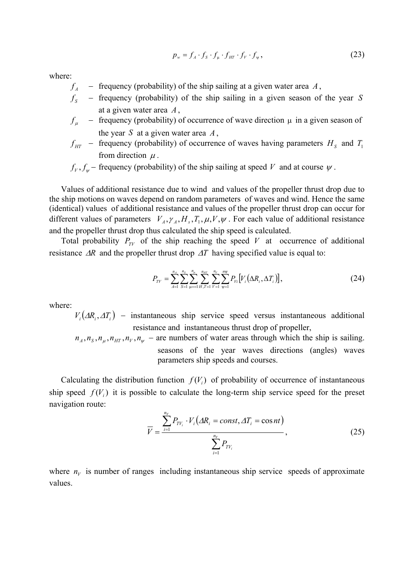$$
p_w = f_A \cdot f_S \cdot f_\mu \cdot f_{HT} \cdot f_V \cdot f_\psi, \qquad (23)
$$

- $f_A$  − frequency (probability) of the ship sailing at a given water area  $A$ ,
- *Sf* − frequency (probability) of the ship sailing in a given season of the year *S* at a given water area  $A$ ,
- $f_{\mu}$  − frequency (probability) of occurrence of wave direction  $\mu$  in a given season of the year *S* at a given water area *A* ,
- $f_{HT}$  frequency (probability) of occurrence of waves having parameters  $H_s$  and  $T_1$ from direction  $\mu$ .
- $f_V$ ,  $f_W$  frequency (probability) of the ship sailing at speed *V* and at course  $\psi$ .

Values of additional resistance due to wind and values of the propeller thrust drop due to the ship motions on waves depend on random parameters of waves and wind. Hence the same (identical) values of additional resistance and values of the propeller thrust drop can occur for different values of parameters  $V_A$ ,  $\gamma_A$ ,  $H_s$ ,  $T_1$ ,  $\mu$ ,  $V, \psi$ . For each value of additional resistance and the propeller thrust drop thus calculated the ship speed is calculated.

Total probability  $P_{TV}$  of the ship reaching the speed V at occurrence of additional resistance  $\Delta R$  and the propeller thrust drop  $\Delta T$  having specified value is equal to:

$$
P_{TV} = \sum_{A=1}^{n_A} \sum_{S=1}^{n_S} \sum_{\mu=1}^{n_{\mu}} \sum_{H,T=1}^{n_{HT}} \sum_{V=1}^{n_V} \sum_{\nu=1}^{n_{\nu}} P_{V_i} [V_i(\Delta R_i, \Delta T_i)], \qquad (24)
$$

where:

 $V_i(\Delta R_i, \Delta T_i)$  – instantaneous ship service speed versus instantaneous additional resistance and instantaneous thrust drop of propeller,

 $n_A$ ,  $n_S$ ,  $n_{\mu}$ ,  $n_{\mu T}$ ,  $n_{\nu}$ ,  $n_{\psi}$  – are numbers of water areas through which the ship is sailing. seasons of the year waves directions (angles) waves parameters ship speeds and courses.

Calculating the distribution function  $f(V_i)$  of probability of occurrence of instantaneous ship speed  $f(V_i)$  it is possible to calculate the long-term ship service speed for the preset navigation route:

$$
\overline{V} = \frac{\sum_{i=1}^{n_V} P_{TV_i} \cdot V_i \left( \Delta R_i = const, \Delta T_i = \cos nt \right)}{\sum_{i=1}^{n_V} P_{TV_i}}, \tag{25}
$$

where  $n_V$  is number of ranges including instantaneous ship service speeds of approximate values.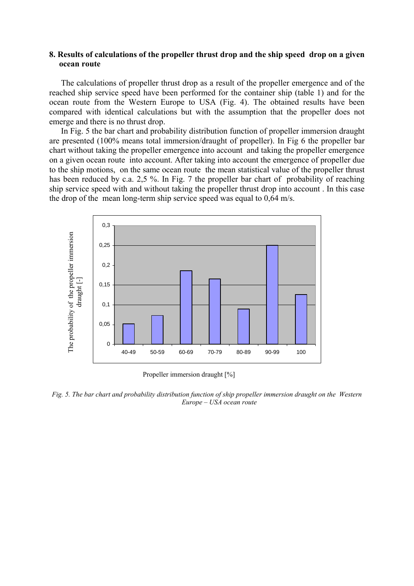## **8. Results of calculations of the propeller thrust drop and the ship speed drop on a given ocean route**

The calculations of propeller thrust drop as a result of the propeller emergence and of the reached ship service speed have been performed for the container ship (table 1) and for the ocean route from the Western Europe to USA (Fig. 4). The obtained results have been compared with identical calculations but with the assumption that the propeller does not emerge and there is no thrust drop.

In Fig. 5 the bar chart and probability distribution function of propeller immersion draught are presented (100% means total immersion/draught of propeller). In Fig 6 the propeller bar chart without taking the propeller emergence into account and taking the propeller emergence on a given ocean route into account. After taking into account the emergence of propeller due to the ship motions, on the same ocean route the mean statistical value of the propeller thrust has been reduced by c.a. 2,5 %. In Fig. 7 the propeller bar chart of probability of reaching ship service speed with and without taking the propeller thrust drop into account . In this case the drop of the mean long-term ship service speed was equal to 0,64 m/s.



Propeller immersion draught [%]

*Fig. 5. The bar chart and probability distribution function of ship propeller immersion draught on the Western Europe – USA ocean route*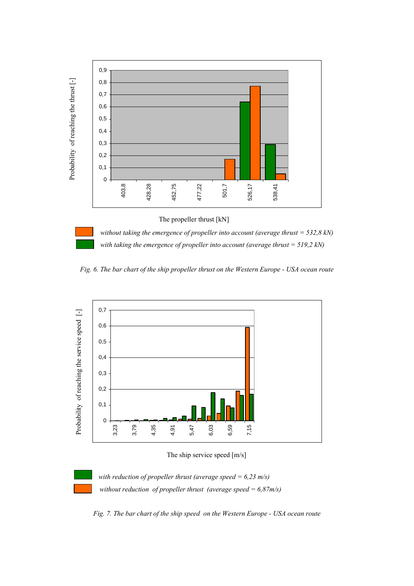

 *without taking the emergence of propeller into account (average thrust = 532,8 kN) with taking the emergence of propeller into account (average thrust = 519,2 kN)* 

*Fig. 6. The bar chart of the ship propeller thrust on the Western Europe - USA ocean route* 



The ship service speed [m/s]



*with reduction of propeller thrust (average speed = 6,23 m/s) without reduction of propeller thrust (average speed = 6,87m/s)* 

*Fig. 7. The bar chart of the ship speed on the Western Europe - USA ocean route*